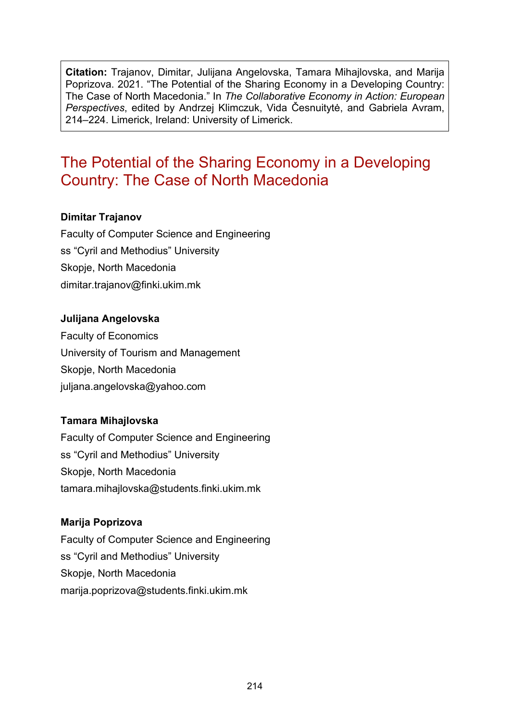**Citation:** Trajanov, Dimitar, Julijana Angelovska, Tamara Mihajlovska, and Marija Poprizova. 2021. "The Potential of the Sharing Economy in a Developing Country: The Case of North Macedonia." In *The Collaborative Economy in Action: European Perspectives*, edited by Andrzej Klimczuk, Vida Česnuitytė, and Gabriela Avram, 214–224. Limerick, Ireland: University of Limerick.

# The Potential of the Sharing Economy in a Developing Country: The Case of North Macedonia

#### **Dimitar Trajanov**

Faculty of Computer Science and Engineering ss "Cyril and Methodius" University Skopje, North Macedonia [dimitar.trajanov@finki.ukim.mk](mailto:dimitar.trajanov@finki.ukim.mk)

#### **Julijana Angelovska**

Faculty of Economics University of Tourism and Management Skopje, North Macedonia [juljana.angelovska@yahoo.com](mailto:juljana.angelovska@yahoo.com)

#### **Tamara Mihajlovska**

Faculty of Computer Science and Engineering ss "Cyril and Methodius" University Skopje, North Macedonia [tamara.mihajlovska@students.finki.ukim.mk](mailto:tamara.mihajlovska@students.finki.ukim.mk)

#### **Marija Poprizova**

Faculty of Computer Science and Engineering ss "Cyril and Methodius" University Skopje, North Macedonia [marija.poprizova@students.finki.ukim.mk](mailto:marija.poprizova@students.finki.ukim.mk)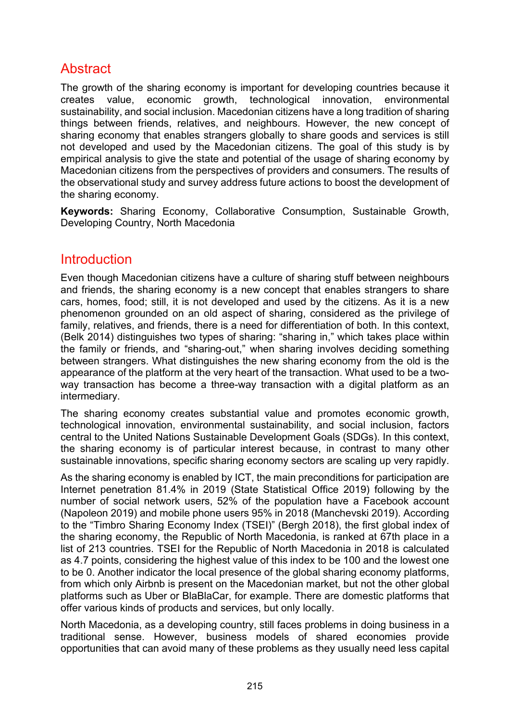# **Abstract**

The growth of the sharing economy is important for developing countries because it creates value, economic growth, technological innovation, environmental sustainability, and social inclusion. Macedonian citizens have a long tradition of sharing things between friends, relatives, and neighbours. However, the new concept of sharing economy that enables strangers globally to share goods and services is still not developed and used by the Macedonian citizens. The goal of this study is by empirical analysis to give the state and potential of the usage of sharing economy by Macedonian citizens from the perspectives of providers and consumers. The results of the observational study and survey address future actions to boost the development of the sharing economy.

**Keywords:** Sharing Economy, Collaborative Consumption, Sustainable Growth, Developing Country, North Macedonia

## **Introduction**

Even though Macedonian citizens have a culture of sharing stuff between neighbours and friends, the sharing economy is a new concept that enables strangers to share cars, homes, food; still, it is not developed and used by the citizens. As it is a new phenomenon grounded on an old aspect of sharing, considered as the privilege of family, relatives, and friends, there is a need for differentiation of both. In this context, (Belk 2014) distinguishes two types of sharing: "sharing in," which takes place within the family or friends, and "sharing-out," when sharing involves deciding something between strangers. What distinguishes the new sharing economy from the old is the appearance of the platform at the very heart of the transaction. What used to be a twoway transaction has become a three-way transaction with a digital platform as an intermediary.

The sharing economy creates substantial value and promotes economic growth, technological innovation, environmental sustainability, and social inclusion, factors central to the United Nations Sustainable Development Goals (SDGs). In this context, the sharing economy is of particular interest because, in contrast to many other sustainable innovations, specific sharing economy sectors are scaling up very rapidly.

As the sharing economy is enabled by ICT, the main preconditions for participation are Internet penetration 81.4% in 2019 (State Statistical Office 2019) following by the number of social network users, 52% of the population have a Facebook account (Napoleon 2019) and mobile phone users 95% in 2018 (Manchevski 2019). According to the "Timbro Sharing Economy Index (TSEI)" (Bergh 2018), the first global index of the sharing economy, the Republic of North Macedonia, is ranked at 67th place in a list of 213 countries. TSEI for the Republic of North Macedonia in 2018 is calculated as 4.7 points, considering the highest value of this index to be 100 and the lowest one to be 0. Another indicator the local presence of the global sharing economy platforms, from which only Airbnb is present on the Macedonian market, but not the other global platforms such as Uber or BlaBlaCar, for example. There are domestic platforms that offer various kinds of products and services, but only locally.

North Macedonia, as a developing country, still faces problems in doing business in a traditional sense. However, business models of shared economies provide opportunities that can avoid many of these problems as they usually need less capital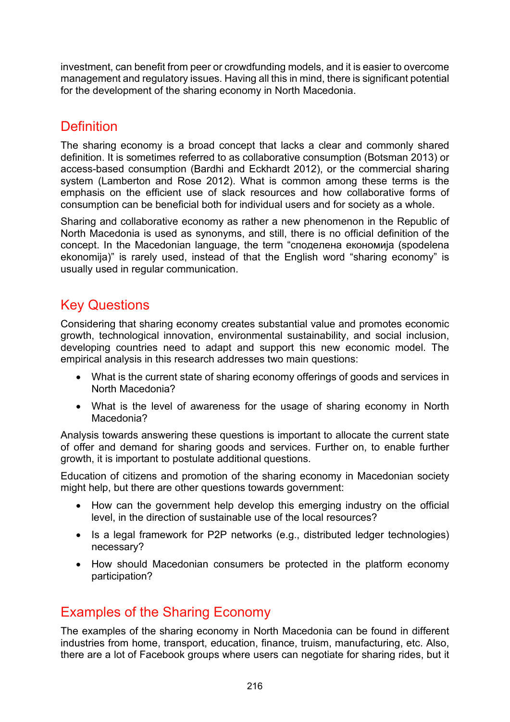investment, can benefit from peer or crowdfunding models, and it is easier to overcome management and regulatory issues. Having all this in mind, there is significant potential for the development of the sharing economy in North Macedonia.

# **Definition**

The sharing economy is a broad concept that lacks a clear and commonly shared definition. It is sometimes referred to as collaborative consumption (Botsman 2013) or access-based consumption (Bardhi and Eckhardt 2012), or the commercial sharing system (Lamberton and Rose 2012). What is common among these terms is the emphasis on the efficient use of slack resources and how collaborative forms of consumption can be beneficial both for individual users and for society as a whole.

Sharing and collaborative economy as rather a new phenomenon in the Republic of North Macedonia is used as synonyms, and still, there is no official definition of the concept. In the Macedonian language, the term "споделена економија (spodelena ekonomija)" is rarely used, instead of that the English word "sharing economy" is usually used in regular communication.

# Key Questions

Considering that sharing economy creates substantial value and promotes economic growth, technological innovation, environmental sustainability, and social inclusion, developing countries need to adapt and support this new economic model. The empirical analysis in this research addresses two main questions:

- What is the current state of sharing economy offerings of goods and services in North Macedonia?
- What is the level of awareness for the usage of sharing economy in North Macedonia?

Analysis towards answering these questions is important to allocate the current state of offer and demand for sharing goods and services. Further on, to enable further growth, it is important to postulate additional questions.

Education of citizens and promotion of the sharing economy in Macedonian society might help, but there are other questions towards government:

- How can the government help develop this emerging industry on the official level, in the direction of sustainable use of the local resources?
- Is a legal framework for P2P networks (e.g., distributed ledger technologies) necessary?
- How should Macedonian consumers be protected in the platform economy participation?

# Examples of the Sharing Economy

The examples of the sharing economy in North Macedonia can be found in different industries from home, transport, education, finance, truism, manufacturing, etc. Also, there are a lot of Facebook groups where users can negotiate for sharing rides, but it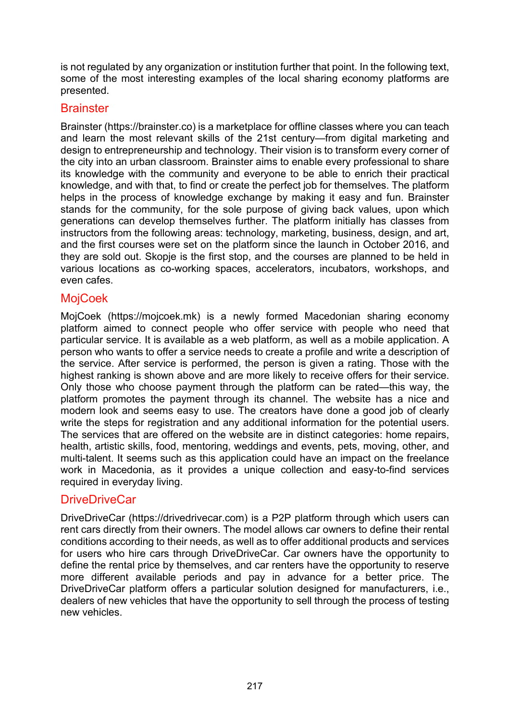is not regulated by any organization or institution further that point. In the following text, some of the most interesting examples of the local sharing economy platforms are presented.

### **Brainster**

Brainster (https://brainster.co) is a marketplace for offline classes where you can teach and learn the most relevant skills of the 21st century—from digital marketing and design to entrepreneurship and technology. Their vision is to transform every corner of the city into an urban classroom. Brainster aims to enable every professional to share its knowledge with the community and everyone to be able to enrich their practical knowledge, and with that, to find or create the perfect job for themselves. The platform helps in the process of knowledge exchange by making it easy and fun. Brainster stands for the community, for the sole purpose of giving back values, upon which generations can develop themselves further. The platform initially has classes from instructors from the following areas: technology, marketing, business, design, and art, and the first courses were set on the platform since the launch in October 2016, and they are sold out. Skopje is the first stop, and the courses are planned to be held in various locations as co-working spaces, accelerators, incubators, workshops, and even cafes.

### **MojCoek**

MojCoek [\(https://mojcoek.mk\)](https://mojcoek.mk/) is a newly formed Macedonian sharing economy platform aimed to connect people who offer service with people who need that particular service. It is available as a web platform, as well as a mobile application. A person who wants to offer a service needs to create a profile and write a description of the service. After service is performed, the person is given a rating. Those with the highest ranking is shown above and are more likely to receive offers for their service. Only those who choose payment through the platform can be rated—this way, the platform promotes the payment through its channel. The website has a nice and modern look and seems easy to use. The creators have done a good job of clearly write the steps for registration and any additional information for the potential users. The services that are offered on the website are in distinct categories: home repairs, health, artistic skills, food, mentoring, weddings and events, pets, moving, other, and multi-talent. It seems such as this application could have an impact on the freelance work in Macedonia, as it provides a unique collection and easy-to-find services required in everyday living.

### DriveDriveCar

DriveDriveCar ([https://drivedrivecar.com\)](https://drivedrivecar.com/) is a P2P platform through which users can rent cars directly from their owners. The model allows car owners to define their rental conditions according to their needs, as well as to offer additional products and services for users who hire cars through DriveDriveCar. Car owners have the opportunity to define the rental price by themselves, and car renters have the opportunity to reserve more different available periods and pay in advance for a better price. The DriveDriveCar platform offers a particular solution designed for manufacturers, i.e., dealers of new vehicles that have the opportunity to sell through the process of testing new vehicles.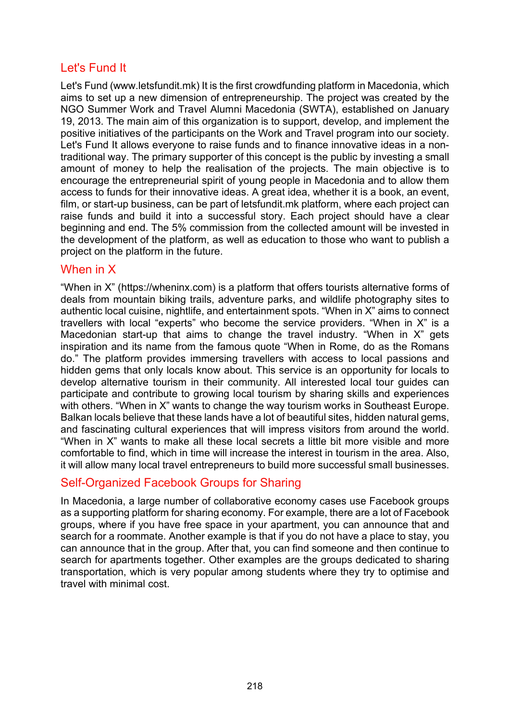## Let's Fund It

Let's Fund [\(www.letsfundit.mk\)](https://www.letsfundit.mk/) It is the first crowdfunding platform in Macedonia, which aims to set up a new dimension of entrepreneurship. The project was created by the NGO Summer Work and Travel Alumni Macedonia (SWTA), established on January 19, 2013. The main aim of this organization is to support, develop, and implement the positive initiatives of the participants on the Work and Travel program into our society. Let's Fund It allows everyone to raise funds and to finance innovative ideas in a nontraditional way. The primary supporter of this concept is the public by investing a small amount of money to help the realisation of the projects. The main objective is to encourage the entrepreneurial spirit of young people in Macedonia and to allow them access to funds for their innovative ideas. A great idea, whether it is a book, an event, film, or start-up business, can be part of letsfundit.mk platform, where each project can raise funds and build it into a successful story. Each project should have a clear beginning and end. The 5% commission from the collected amount will be invested in the development of the platform, as well as education to those who want to publish a project on the platform in the future.

### When in X

"When in X" [\(https://wheninx.com](https://wheninx.com/)) is a platform that offers tourists alternative forms of deals from mountain biking trails, adventure parks, and wildlife photography sites to authentic local cuisine, nightlife, and entertainment spots. "When in X" aims to connect travellers with local "experts" who become the service providers. "When in X" is a Macedonian start-up that aims to change the travel industry. "When in X" gets inspiration and its name from the famous quote "When in Rome, do as the Romans do." The platform provides immersing travellers with access to local passions and hidden gems that only locals know about. This service is an opportunity for locals to develop alternative tourism in their community. All interested local tour guides can participate and contribute to growing local tourism by sharing skills and experiences with others. "When in X" wants to change the way tourism works in Southeast Europe. Balkan locals believe that these lands have a lot of beautiful sites, hidden natural gems, and fascinating cultural experiences that will impress visitors from around the world. "When in X" wants to make all these local secrets a little bit more visible and more comfortable to find, which in time will increase the interest in tourism in the area. Also, it will allow many local travel entrepreneurs to build more successful small businesses.

### Self-Organized Facebook Groups for Sharing

In Macedonia, a large number of collaborative economy cases use Facebook groups as a supporting platform for sharing economy. For example, there are a lot of Facebook groups, where if you have free space in your apartment, you can announce that and search for a roommate. Another example is that if you do not have a place to stay, you can announce that in the group. After that, you can find someone and then continue to search for apartments together. Other examples are the groups dedicated to sharing transportation, which is very popular among students where they try to optimise and travel with minimal cost.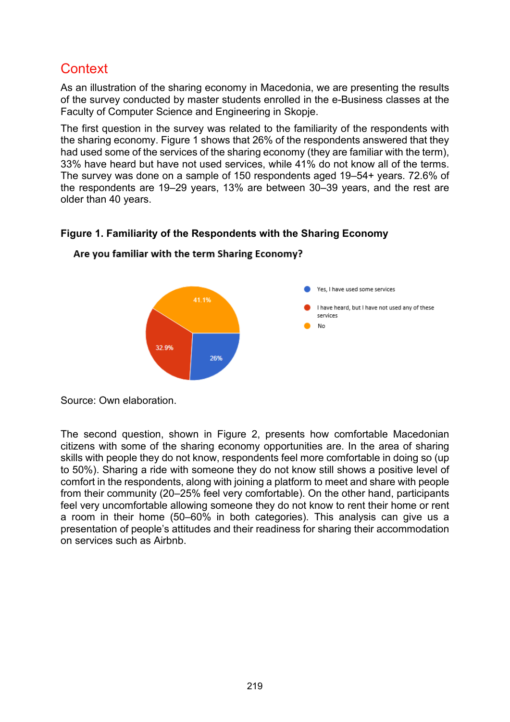# **Context**

As an illustration of the sharing economy in Macedonia, we are presenting the results of the survey conducted by master students enrolled in the e-Business classes at the Faculty of Computer Science and Engineering in Skopje.

The first question in the survey was related to the familiarity of the respondents with the sharing economy. Figure 1 shows that 26% of the respondents answered that they had used some of the services of the sharing economy (they are familiar with the term), 33% have heard but have not used services, while 41% do not know all of the terms. The survey was done on a sample of 150 respondents aged 19–54+ years. 72.6% of the respondents are 19–29 years, 13% are between 30–39 years, and the rest are older than 40 years.

## Yes, I have used some services 41 1% I have heard, but I have not used any of these services No 32.9% 26%

#### Are you familiar with the term Sharing Economy?

**Figure 1. Familiarity of the Respondents with the Sharing Economy**

Source: Own elaboration.

The second question, shown in Figure 2, presents how comfortable Macedonian citizens with some of the sharing economy opportunities are. In the area of sharing skills with people they do not know, respondents feel more comfortable in doing so (up to 50%). Sharing a ride with someone they do not know still shows a positive level of comfort in the respondents, along with joining a platform to meet and share with people from their community (20–25% feel very comfortable). On the other hand, participants feel very uncomfortable allowing someone they do not know to rent their home or rent a room in their home (50–60% in both categories). This analysis can give us a presentation of people's attitudes and their readiness for sharing their accommodation on services such as Airbnb.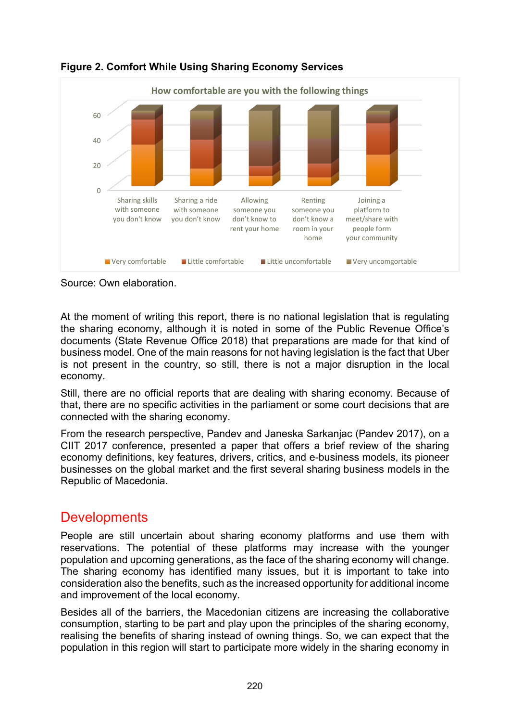

**Figure 2. Comfort While Using Sharing Economy Services**

Source: Own elaboration.

At the moment of writing this report, there is no national legislation that is regulating the sharing economy, although it is noted in some of the Public Revenue Office's documents (State Revenue Office 2018) that preparations are made for that kind of business model. One of the main reasons for not having legislation is the fact that Uber is not present in the country, so still, there is not a major disruption in the local economy.

Still, there are no official reports that are dealing with sharing economy. Because of that, there are no specific activities in the parliament or some court decisions that are connected with the sharing economy.

From the research perspective, Pandev and Janeska Sarkanjac (Pandev 2017), on a CIIT 2017 conference, presented a paper that offers a brief review of the sharing economy definitions, key features, drivers, critics, and e-business models, its pioneer businesses on the global market and the first several sharing business models in the Republic of Macedonia.

## **Developments**

People are still uncertain about sharing economy platforms and use them with reservations. The potential of these platforms may increase with the younger population and upcoming generations, as the face of the sharing economy will change. The sharing economy has identified many issues, but it is important to take into consideration also the benefits, such as the increased opportunity for additional income and improvement of the local economy.

Besides all of the barriers, the Macedonian citizens are increasing the collaborative consumption, starting to be part and play upon the principles of the sharing economy, realising the benefits of sharing instead of owning things. So, we can expect that the population in this region will start to participate more widely in the sharing economy in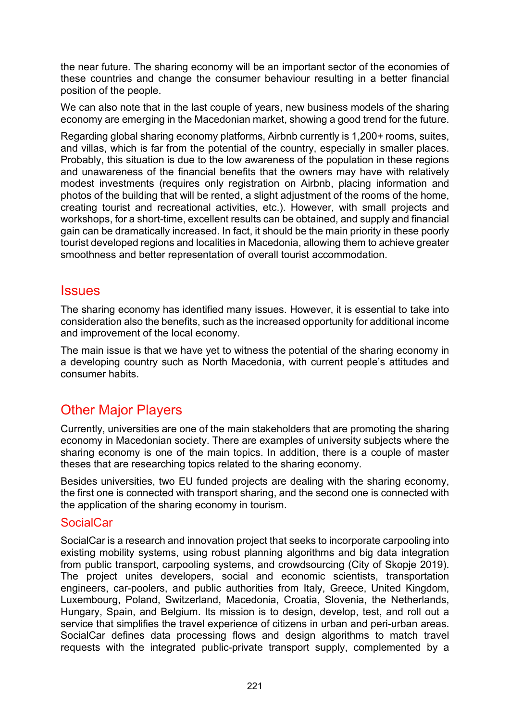the near future. The sharing economy will be an important sector of the economies of these countries and change the consumer behaviour resulting in a better financial position of the people.

We can also note that in the last couple of years, new business models of the sharing economy are emerging in the Macedonian market, showing a good trend for the future.

Regarding global sharing economy platforms, Airbnb currently is 1,200+ rooms, suites, and villas, which is far from the potential of the country, especially in smaller places. Probably, this situation is due to the low awareness of the population in these regions and unawareness of the financial benefits that the owners may have with relatively modest investments (requires only registration on Airbnb, placing information and photos of the building that will be rented, a slight adjustment of the rooms of the home, creating tourist and recreational activities, etc.). However, with small projects and workshops, for a short-time, excellent results can be obtained, and supply and financial gain can be dramatically increased. In fact, it should be the main priority in these poorly tourist developed regions and localities in Macedonia, allowing them to achieve greater smoothness and better representation of overall tourist accommodation.

### **Issues**

The sharing economy has identified many issues. However, it is essential to take into consideration also the benefits, such as the increased opportunity for additional income and improvement of the local economy.

The main issue is that we have yet to witness the potential of the sharing economy in a developing country such as North Macedonia, with current people's attitudes and consumer habits.

## Other Major Players

Currently, universities are one of the main stakeholders that are promoting the sharing economy in Macedonian society. There are examples of university subjects where the sharing economy is one of the main topics. In addition, there is a couple of master theses that are researching topics related to the sharing economy.

Besides universities, two EU funded projects are dealing with the sharing economy, the first one is connected with transport sharing, and the second one is connected with the application of the sharing economy in tourism.

### **SocialCar**

SocialCar is a research and innovation project that seeks to incorporate carpooling into existing mobility systems, using robust planning algorithms and big data integration from public transport, carpooling systems, and crowdsourcing (City of Skopje 2019). The project unites developers, social and economic scientists, transportation engineers, car-poolers, and public authorities from Italy, Greece, United Kingdom, Luxembourg, Poland, Switzerland, Macedonia, Croatia, Slovenia, the Netherlands, Hungary, Spain, and Belgium. Its mission is to design, develop, test, and roll out a service that simplifies the travel experience of citizens in urban and peri-urban areas. SocialCar defines data processing flows and design algorithms to match travel requests with the integrated public-private transport supply, complemented by a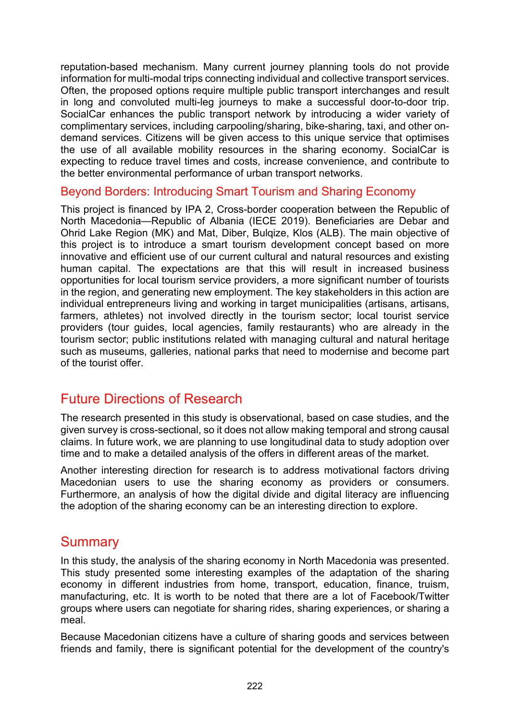reputation-based mechanism. Many current journey planning tools do not provide information for multi-modal trips connecting individual and collective transport services. Often, the proposed options require multiple public transport interchanges and result in long and convoluted multi-leg journeys to make a successful door-to-door trip. SocialCar enhances the public transport network by introducing a wider variety of complimentary services, including carpooling/sharing, bike-sharing, taxi, and other ondemand services. Citizens will be given access to this unique service that optimises the use of all available mobility resources in the sharing economy. SocialCar is expecting to reduce travel times and costs, increase convenience, and contribute to the better environmental performance of urban transport networks.

#### Beyond Borders: Introducing Smart Tourism and Sharing Economy

This project is financed by IPA 2, Cross-border cooperation between the Republic of North Macedonia—Republic of Albania (IECE 2019). Beneficiaries are Debar and Ohrid Lake Region (MK) and Mat, Diber, Bulqize, Klos (ALB). The main objective of this project is to introduce a smart tourism development concept based on more innovative and efficient use of our current cultural and natural resources and existing human capital. The expectations are that this will result in increased business opportunities for local tourism service providers, a more significant number of tourists in the region, and generating new employment. The key stakeholders in this action are individual entrepreneurs living and working in target municipalities (artisans, artisans, farmers, athletes) not involved directly in the tourism sector; local tourist service providers (tour guides, local agencies, family restaurants) who are already in the tourism sector; public institutions related with managing cultural and natural heritage such as museums, galleries, national parks that need to modernise and become part of the tourist offer.

## Future Directions of Research

The research presented in this study is observational, based on case studies, and the given survey is cross-sectional, so it does not allow making temporal and strong causal claims. In future work, we are planning to use longitudinal data to study adoption over time and to make a detailed analysis of the offers in different areas of the market.

Another interesting direction for research is to address motivational factors driving Macedonian users to use the sharing economy as providers or consumers. Furthermore, an analysis of how the digital divide and digital literacy are influencing the adoption of the sharing economy can be an interesting direction to explore.

## **Summary**

In this study, the analysis of the sharing economy in North Macedonia was presented. This study presented some interesting examples of the adaptation of the sharing economy in different industries from home, transport, education, finance, truism, manufacturing, etc. It is worth to be noted that there are a lot of Facebook/Twitter groups where users can negotiate for sharing rides, sharing experiences, or sharing a meal.

Because Macedonian citizens have a culture of sharing goods and services between friends and family, there is significant potential for the development of the country's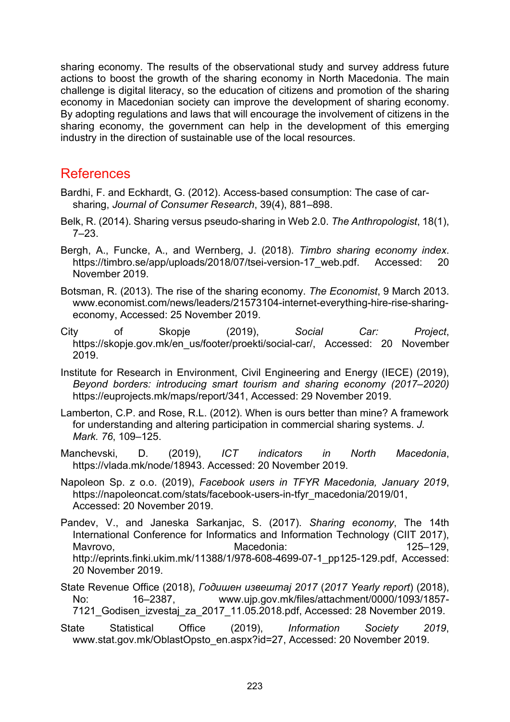sharing economy. The results of the observational study and survey address future actions to boost the growth of the sharing economy in North Macedonia. The main challenge is digital literacy, so the education of citizens and promotion of the sharing economy in Macedonian society can improve the development of sharing economy. By adopting regulations and laws that will encourage the involvement of citizens in the sharing economy, the government can help in the development of this emerging industry in the direction of sustainable use of the local resources.

### References

- Bardhi, F. and Eckhardt, G. (2012). Access-based consumption: The case of carsharing, *Journal of Consumer Research*, 39(4), 881–898.
- Belk, R. (2014). Sharing versus pseudo-sharing in Web 2.0. *The Anthropologist*, 18(1), 7–23.
- Bergh, A., Funcke, A., and Wernberg, J. (2018). *Timbro sharing economy index*. [https://timbro.se/app/uploads/2018/07/ts](https://timbro.se/app/uploads/2018/07/tsei-version-17_web.pdf)ei-version-17 web.pdf. Accessed: 20 November 2019.
- Botsman, R. (2013). The rise of the sharing economy. *The Economist*, 9 March 2013. [www.economist.com/news/leaders/21573104-internet-everything-hire-rise-sharing](https://www.economist.com/news/leaders/21573104-internet-everything-hire-rise-sharing-economy)[economy,](https://www.economist.com/news/leaders/21573104-internet-everything-hire-rise-sharing-economy) Accessed: 25 November 2019.
- City of Skopje (2019), *Social Car: Project*, [https://skopje.gov.mk/en\\_us/footer/proekti/social-car/,](https://skopje.gov.mk/en_us/footer/proekti/social-car/) Accessed: 20 November 2019.
- Institute for Research in Environment, Civil Engineering and Energy (IECE) (2019), *Beyond borders: introducing smart tourism and sharing economy (2017–2020)* [https://euprojects.mk/maps/report/341,](https://euprojects.mk/maps/report/341) Accessed: 29 November 2019.
- Lamberton, C.P. and Rose, R.L. (2012). When is ours better than mine? A framework for understanding and altering participation in commercial sharing systems. *J. Mark. 76*, 109–125.
- Manchevski, D. (2019), *ICT indicators in North Macedonia*, [https://vlada.mk/node/18943.](https://vlada.mk/node/18943) Accessed: 20 November 2019.
- Napoleon Sp. z o.o. (2019), *Facebook users in TFYR Macedonia, January 2019*, [https://napoleoncat.com/stats/facebook](https://napoleoncat.com/stats/facebook-users-in-tfyr_macedonia/2019/01)-users-in-tfyr\_macedonia/2019/01, Accessed: 20 November 2019.
- Pandev, V., and Janeska Sarkanjac, S. (2017). *Sharing economy*, The 14th International Conference for Informatics and Information Technology (CIIT 2017), Mavrovo, Macedonia: 125–129, [http://eprints.finki.ukim.mk/11388/1/978-608-4699-07-1\\_pp125-129.pdf,](http://eprints.finki.ukim.mk/11388/1/978-608-4699-07-1_pp125-129.pdf) Accessed: 20 November 2019.
- State Revenue Office (2018), *Годишен извештај 2017* (*2017 Yearly report*) (2018), No: 16–2387, [www.ujp.gov.mk/files/attachment/0000/1093/1857-](http://www.ujp.gov.mk/files/attachment/0000/1093/1857-7121_Godisen_izvestaj_za_2017_11.05.2018.pdf) [7121\\_Godisen\\_izvestaj\\_za\\_2017\\_11.05.2018.pdf,](http://www.ujp.gov.mk/files/attachment/0000/1093/1857-7121_Godisen_izvestaj_za_2017_11.05.2018.pdf) Accessed: 28 November 2019.
- State Statistical Office (2019), *Information Society 2019*, [www.stat.gov.mk/OblastOpsto\\_en.aspx?id=27](http://www.stat.gov.mk/OblastOpsto_en.aspx?id=27), Accessed: 20 November 2019.